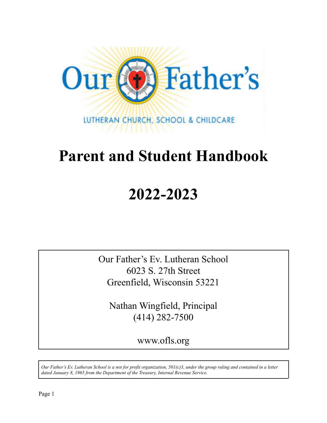

# **Parent and Student Handbook**

# **2022-2023**

Our Father's Ev. Lutheran School 6023 S. 27th Street Greenfield, Wisconsin 53221

Nathan Wingfield, Principal (414) 282-7500

www.ofls.org

*Our Father's Ev. Lutheran School is a not for profit organization, 501(c)3, under the group ruling and contained in a letter dated January 8, 1965 from the Department of the Treasury, Internal Revenue Service.*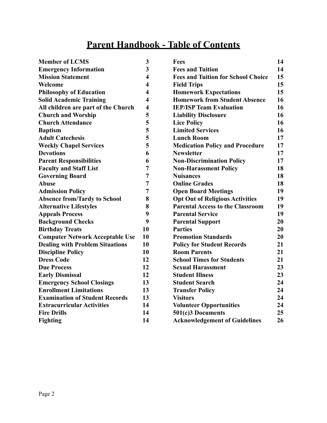## **Parent Handbook - Table of Contents**

| <b>Member of LCMS</b>                  | 3                       | Fees                                      | 14 |
|----------------------------------------|-------------------------|-------------------------------------------|----|
| <b>Emergency Information</b>           | 3                       | <b>Fees and Tuition</b>                   | 14 |
| <b>Mission Statement</b>               | 4                       | <b>Fees and Tuition for School Choice</b> | 15 |
| Welcome                                | $\overline{\mathbf{4}}$ | <b>Field Trips</b>                        | 15 |
| <b>Philosophy of Education</b>         | 4                       | <b>Homework Expectations</b>              | 15 |
| <b>Solid Academic Training</b>         | $\overline{\mathbf{4}}$ | <b>Homework from Student Absence</b>      | 16 |
| All children are part of the Church    | $\overline{\mathbf{4}}$ | <b>IEP/ISP Team Evaluation</b>            | 16 |
| <b>Church and Worship</b>              | 5                       | <b>Liability Disclosure</b>               | 16 |
| <b>Church Attendance</b>               | 5                       | <b>Lice Policy</b>                        | 16 |
| <b>Baptism</b>                         | 5                       | <b>Limited Services</b>                   | 16 |
| <b>Adult Catechesis</b>                | 5                       | <b>Lunch Room</b>                         | 17 |
| <b>Weekly Chapel Services</b>          | 5                       | <b>Medication Policy and Procedure</b>    | 17 |
| <b>Devotions</b>                       | 6                       | <b>Newsletter</b>                         | 17 |
| <b>Parent Responsibilities</b>         | 6                       | <b>Non-Discrimination Policy</b>          | 17 |
| <b>Faculty and Staff List</b>          | 7                       | <b>Non-Harassment Policy</b>              | 18 |
| <b>Governing Board</b>                 | 7                       | <b>Nuisances</b>                          | 18 |
| <b>Abuse</b>                           | 7                       | <b>Online Grades</b>                      | 18 |
| <b>Admission Policy</b>                | 7                       | <b>Open Board Meetings</b>                | 19 |
| <b>Absence from/Tardy to School</b>    | 8                       | <b>Opt Out of Religious Activities</b>    | 19 |
| <b>Alternative Lifestyles</b>          | 8                       | <b>Parental Access to the Classroom</b>   | 19 |
| <b>Appeals Process</b>                 | 9                       | <b>Parental Service</b>                   | 19 |
| <b>Background Checks</b>               | 9                       | <b>Parental Support</b>                   | 20 |
| <b>Birthday Treats</b>                 | 10                      | <b>Parties</b>                            | 20 |
| <b>Computer Network Acceptable Use</b> | 10                      | <b>Promotion Standards</b>                | 20 |
| <b>Dealing with Problem Situations</b> | 10                      | <b>Policy for Student Records</b>         | 21 |
| <b>Discipline Policy</b>               | 10                      | <b>Room Parents</b>                       | 21 |
| <b>Dress Code</b>                      | 12                      | <b>School Times for Students</b>          | 21 |
| <b>Due Process</b>                     | 12                      | <b>Sexual Harassment</b>                  | 23 |
| <b>Early Dismissal</b>                 | 12                      | <b>Student Illness</b>                    | 23 |
| <b>Emergency School Closings</b>       | 13                      | <b>Student Search</b>                     | 24 |
| <b>Enrollment Limitations</b>          | 13                      | <b>Transfer Policy</b>                    | 24 |
| <b>Examination of Student Records</b>  | 13                      | <b>Visitors</b>                           | 24 |
| <b>Extracurricular Activities</b>      | 14                      | <b>Volunteer Opportunities</b>            | 24 |
| <b>Fire Drills</b>                     | 14                      | 501(c)3 Documents                         | 25 |
| <b>Fighting</b>                        | 14                      | <b>Acknowledgement of Guidelines</b>      | 26 |
|                                        |                         |                                           |    |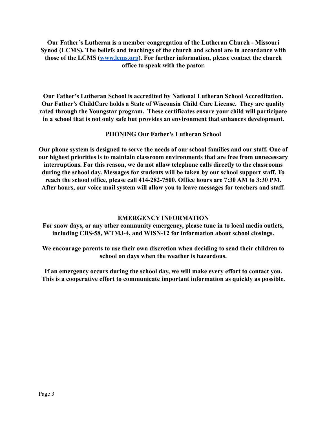**Our Father's Lutheran is a member congregation of the Lutheran Church - Missouri Synod (LCMS). The beliefs and teachings of the church and school are in accordance with those of the LCMS [\(www.lcms.org](http://www.lcms.org)). For further information, please contact the church office to speak with the pastor.**

**Our Father's Lutheran School is accredited by National Lutheran School Accreditation. Our Father's ChildCare holds a State of Wisconsin Child Care License. They are quality rated through the Youngstar program. These certificates ensure your child will participate in a school that is not only safe but provides an environment that enhances development.**

#### **PHONING Our Father's Lutheran School**

**Our phone system is designed to serve the needs of our school families and our staff. One of our highest priorities is to maintain classroom environments that are free from unnecessary interruptions. For this reason, we do not allow telephone calls directly to the classrooms during the school day. Messages for students will be taken by our school support staff. To reach the school office, please call 414-282-7500. Office hours are 7:30 AM to 3:30 PM. After hours, our voice mail system will allow you to leave messages for teachers and staff.**

#### **EMERGENCY INFORMATION**

**For snow days, or any other community emergency, please tune in to local media outlets, including CBS-58, WTMJ-4, and WISN-12 for information about school closings.**

**We encourage parents to use their own discretion when deciding to send their children to school on days when the weather is hazardous.**

**If an emergency occurs during the school day, we will make every effort to contact you. This is a cooperative effort to communicate important information as quickly as possible.**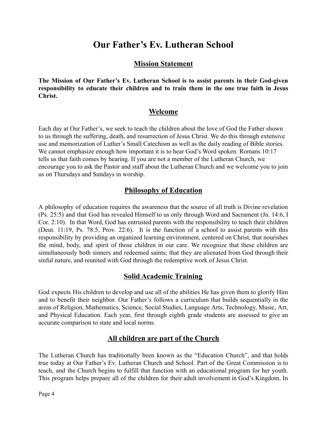## **Our Father's Ev. Lutheran School**

#### **Mission Statement**

**The Mission of Our Father's Ev. Lutheran School is to assist parents in their God-given responsibility to educate their children and to train them in the one true faith in Jesus Christ.**

#### **Welcome**

Each day at Our Father's, we seek to teach the children about the love of God the Father shown to us through the suffering, death, and resurrection of Jesus Christ. We do this through extensive use and memorization of Luther's Small Catechism as well as the daily reading of Bible stories. We cannot emphasize enough how important it is to hear God's Word spoken. Romans 10:17 tells us that faith comes by hearing. If you are not a member of the Lutheran Church, we encourage you to ask the Pastor and staff about the Lutheran Church and we welcome you to join us on Thursdays and Sundays in worship.

#### **Philosophy of Education**

A philosophy of education requires the awareness that the source of all truth is Divine revelation (Ps. 25:5) and that God has revealed Himself to us only through Word and Sacrament (Jn. 14:6, I Cor. 2:10). In that Word, God has entrusted parents with the responsibility to teach their children (Deut. 11:19, Ps. 78:5, Prov. 22:6). It is the function of a school to assist parents with this responsibility by providing an organized learning environment, centered on Christ, that nourishes the mind, body, and spirit of those children in our care. We recognize that these children are simultaneously both sinners and redeemed saints; that they are alienated from God through their sinful nature, and reunited with God through the redemptive work of Jesus Christ.

#### **Solid Academic Training**

God expects His children to develop and use all of the abilities He has given them to glorify Him and to benefit their neighbor. Our Father's follows a curriculum that builds sequentially in the areas of Religion, Mathematics, Science, Social Studies, Language Arts, Technology, Music, Art, and Physical Education. Each year, first through eighth grade students are assessed to give an accurate comparison to state and local norms.

#### **All children are part of the Church**

The Lutheran Church has traditionally been known as the "Education Church", and that holds true today at Our Father's Ev. Lutheran Church and School. Part of the Great Commission is to teach, and the Church begins to fulfill that function with an educational program for her youth. This program helps prepare all of the children for their adult involvement in God's Kingdom. In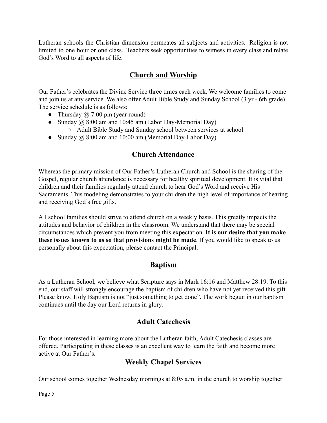Lutheran schools the Christian dimension permeates all subjects and activities. Religion is not limited to one hour or one class. Teachers seek opportunities to witness in every class and relate God's Word to all aspects of life.

## **Church and Worship**

Our Father's celebrates the Divine Service three times each week. We welcome families to come and join us at any service. We also offer Adult Bible Study and Sunday School (3 yr - 6th grade). The service schedule is as follows:

- Thursday  $\omega$  7:00 pm (year round)
- Sunday  $\omega$  8:00 am and 10:45 am (Labor Day-Memorial Day) ○ Adult Bible Study and Sunday school between services at school
- Sunday  $\omega$  8:00 am and 10:00 am (Memorial Day-Labor Day)

### **Church Attendance**

Whereas the primary mission of Our Father's Lutheran Church and School is the sharing of the Gospel, regular church attendance is necessary for healthy spiritual development. It is vital that children and their families regularly attend church to hear God's Word and receive His Sacraments. This modeling demonstrates to your children the high level of importance of hearing and receiving God's free gifts.

All school families should strive to attend church on a weekly basis. This greatly impacts the attitudes and behavior of children in the classroom. We understand that there may be special circumstances which prevent you from meeting this expectation. **It is our desire that you make these issues known to us so that provisions might be made**. If you would like to speak to us personally about this expectation, please contact the Principal.

## **Baptism**

As a Lutheran School, we believe what Scripture says in Mark 16:16 and Matthew 28:19. To this end, our staff will strongly encourage the baptism of children who have not yet received this gift. Please know, Holy Baptism is not "just something to get done". The work begun in our baptism continues until the day our Lord returns in glory.

## **Adult Catechesis**

For those interested in learning more about the Lutheran faith, Adult Catechesis classes are offered. Participating in these classes is an excellent way to learn the faith and become more active at Our Father's.

#### **Weekly Chapel Services**

Our school comes together Wednesday mornings at 8:05 a.m. in the church to worship together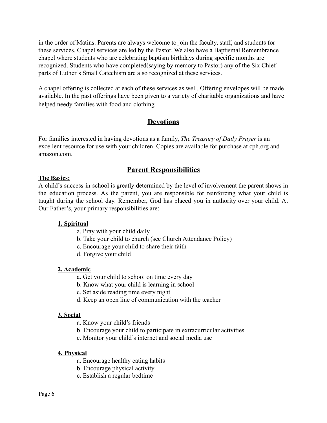in the order of Matins. Parents are always welcome to join the faculty, staff, and students for these services. Chapel services are led by the Pastor. We also have a Baptismal Remembrance chapel where students who are celebrating baptism birthdays during specific months are recognized. Students who have completed(saying by memory to Pastor) any of the Six Chief parts of Luther's Small Catechism are also recognized at these services.

A chapel offering is collected at each of these services as well. Offering envelopes will be made available. In the past offerings have been given to a variety of charitable organizations and have helped needy families with food and clothing.

### **Devotions**

For families interested in having devotions as a family, *The Treasury of Daily Prayer* is an excellent resource for use with your children. Copies are available for purchase at cph.org and amazon.com.

## **Parent Responsibilities**

#### **The Basics:**

A child's success in school is greatly determined by the level of involvement the parent shows in the education process. As the parent, you are responsible for reinforcing what your child is taught during the school day. Remember, God has placed you in authority over your child. At Our Father's, your primary responsibilities are:

#### **1. Spiritual**

- a. Pray with your child daily
- b. Take your child to church (see Church Attendance Policy)
- c. Encourage your child to share their faith
- d. Forgive your child

#### **2. Academic**

- a. Get your child to school on time every day
- b. Know what your child is learning in school
- c. Set aside reading time every night
- d. Keep an open line of communication with the teacher

#### **3. Social**

- a. Know your child's friends
- b. Encourage your child to participate in extracurricular activities
- c. Monitor your child's internet and social media use

#### **4. Physical**

- a. Encourage healthy eating habits
- b. Encourage physical activity
- c. Establish a regular bedtime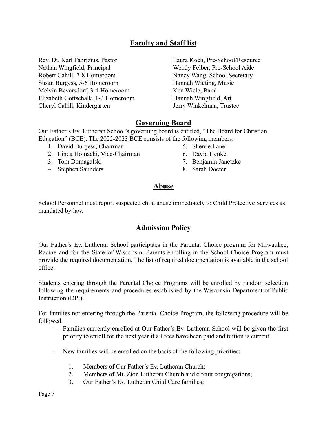#### **Faculty and Staff list**

Rev. Dr. Karl Fabrizius, Pastor Nathan Wingfield, Principal Robert Cahill, 7-8 Homeroom Susan Burgess, 5-6 Homeroom Melvin Beversdorf, 3-4 Homeroom Elizabeth Gottschalk, 1-2 Homeroom Cheryl Cahill, Kindergarten

Laura Koch, Pre-School/Resource Wendy Felber, Pre-School Aide Nancy Wang, School Secretary Hannah Wieting, Music Ken Wiele, Band Hannah Wingfield, Art Jerry Winkelman, Trustee

#### **Governing Board**

Our Father's Ev. Lutheran School's governing board is entitled, "The Board for Christian Education" (BCE). The 2022-2023 BCE consists of the following members:

- 1. David Burgess, Chairman
- 2. Linda Hojnacki, Vice-Chairman
- 3. Tom Domagalski
- 4. Stephen Saunders
- 5. Sherrie Lane
- 6. David Henke
- 7. Benjamin Janetzke
- 8. Sarah Docter

#### **Abuse**

School Personnel must report suspected child abuse immediately to Child Protective Services as mandated by law.

#### **Admission Policy**

Our Father's Ev. Lutheran School participates in the Parental Choice program for Milwaukee, Racine and for the State of Wisconsin. Parents enrolling in the School Choice Program must provide the required documentation. The list of required documentation is available in the school office.

Students entering through the Parental Choice Programs will be enrolled by random selection following the requirements and procedures established by the Wisconsin Department of Public Instruction (DPI).

For families not entering through the Parental Choice Program, the following procedure will be followed.

- Families currently enrolled at Our Father's Ev. Lutheran School will be given the first priority to enroll for the next year if all fees have been paid and tuition is current.
- New families will be enrolled on the basis of the following priorities:
	- 1. Members of Our Father's Ev. Lutheran Church;
	- 2. Members of Mt. Zion Lutheran Church and circuit congregations;
	- 3. Our Father's Ev. Lutheran Child Care families;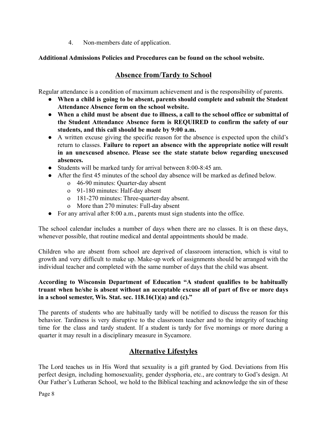4. Non-members date of application.

#### **Additional Admissions Policies and Procedures can be found on the school website.**

## **Absence from/Tardy to School**

Regular attendance is a condition of maximum achievement and is the responsibility of parents.

- **When a child is going to be absent, parents should complete and submit the Student Attendance Absence form on the school website.**
- **When a child must be absent due to illness, a call to the school office or submittal of the Student Attendance Absence form is REQUIRED to confirm the safety of our students, and this call should be made by 9:00 a.m.**
- A written excuse giving the specific reason for the absence is expected upon the child's return to classes. **Failure to report an absence with the appropriate notice will result in an unexcused absence. Please see the state statute below regarding unexcused absences.**
- Students will be marked tardy for arrival between 8:00-8:45 am.
- After the first 45 minutes of the school day absence will be marked as defined below.
	- o 46-90 minutes: Quarter-day absent
	- o 91-180 minutes: Half-day absent
	- o 181-270 minutes: Three-quarter-day absent.
	- o More than 270 minutes: Full-day absent
- For any arrival after 8:00 a.m., parents must sign students into the office.

The school calendar includes a number of days when there are no classes. It is on these days, whenever possible, that routine medical and dental appointments should be made.

Children who are absent from school are deprived of classroom interaction, which is vital to growth and very difficult to make up. Make-up work of assignments should be arranged with the individual teacher and completed with the same number of days that the child was absent.

#### **According to Wisconsin Department of Education "A student qualifies to be habitually truant when he/she is absent without an acceptable excuse all of part of five or more days in a school semester, Wis. Stat. sec. 118.16(1)(a) and (c)."**

The parents of students who are habitually tardy will be notified to discuss the reason for this behavior. Tardiness is very disruptive to the classroom teacher and to the integrity of teaching time for the class and tardy student. If a student is tardy for five mornings or more during a quarter it may result in a disciplinary measure in Sycamore.

#### **Alternative Lifestyles**

The Lord teaches us in His Word that sexuality is a gift granted by God. Deviations from His perfect design, including homosexuality, gender dysphoria, etc., are contrary to God's design. At Our Father's Lutheran School, we hold to the Biblical teaching and acknowledge the sin of these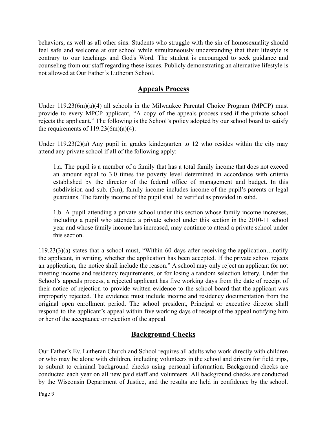behaviors, as well as all other sins. Students who struggle with the sin of homosexuality should feel safe and welcome at our school while simultaneously understanding that their lifestyle is contrary to our teachings and God's Word. The student is encouraged to seek guidance and counseling from our staff regarding these issues. Publicly demonstrating an alternative lifestyle is not allowed at Our Father's Lutheran School.

### **Appeals Process**

Under 119.23(6m)(a)(4) all schools in the Milwaukee Parental Choice Program (MPCP) must provide to every MPCP applicant, "A copy of the appeals process used if the private school rejects the applicant." The following is the School's policy adopted by our school board to satisfy the requirements of  $119.23(6m)(a)(4)$ :

Under 119.23(2)(a) Any pupil in grades kindergarten to 12 who resides within the city may attend any private school if all of the following apply:

1.a. The pupil is a member of a family that has a total family income that does not exceed an amount equal to 3.0 times the poverty level determined in accordance with criteria established by the director of the federal office of management and budget. In this subdivision and sub. (3m), family income includes income of the pupil's parents or legal guardians. The family income of the pupil shall be verified as provided in subd.

1.b. A pupil attending a private school under this section whose family income increases, including a pupil who attended a private school under this section in the 2010-11 school year and whose family income has increased, may continue to attend a private school under this section.

119.23(3)(a) states that a school must, "Within 60 days after receiving the application…notify the applicant, in writing, whether the application has been accepted. If the private school rejects an application, the notice shall include the reason." A school may only reject an applicant for not meeting income and residency requirements, or for losing a random selection lottery. Under the School's appeals process, a rejected applicant has five working days from the date of receipt of their notice of rejection to provide written evidence to the school board that the applicant was improperly rejected. The evidence must include income and residency documentation from the original open enrollment period. The school president, Principal or executive director shall respond to the applicant's appeal within five working days of receipt of the appeal notifying him or her of the acceptance or rejection of the appeal.

## **Background Checks**

Our Father's Ev. Lutheran Church and School requires all adults who work directly with children or who may be alone with children, including volunteers in the school and drivers for field trips, to submit to criminal background checks using personal information. Background checks are conducted each year on all new paid staff and volunteers. All background checks are conducted by the Wisconsin Department of Justice, and the results are held in confidence by the school.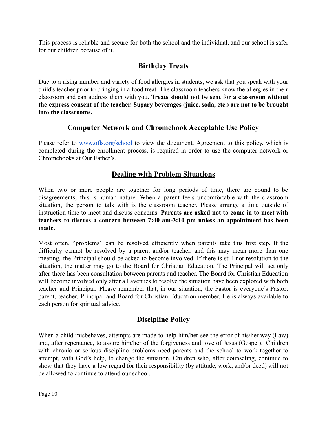This process is reliable and secure for both the school and the individual, and our school is safer for our children because of it.

## **Birthday Treats**

Due to a rising number and variety of food allergies in students, we ask that you speak with your child's teacher prior to bringing in a food treat. The classroom teachers know the allergies in their classroom and can address them with you. **Treats should not be sent for a classroom without the express consent of the teacher. Sugary beverages (juice, soda, etc.) are not to be brought into the classrooms.**

#### **Computer Network and Chromebook Acceptable Use Policy**

Please refer to [www.ofls.org/school](http://www.ofls.org/school) to view the document. Agreement to this policy, which is completed during the enrollment process, is required in order to use the computer network or Chromebooks at Our Father's.

## **Dealing with Problem Situations**

When two or more people are together for long periods of time, there are bound to be disagreements; this is human nature. When a parent feels uncomfortable with the classroom situation, the person to talk with is the classroom teacher. Please arrange a time outside of instruction time to meet and discuss concerns. **Parents are asked not to come in to meet with teachers to discuss a concern between 7:40 am-3:10 pm unless an appointment has been made.**

Most often, "problems" can be resolved efficiently when parents take this first step. If the difficulty cannot be resolved by a parent and/or teacher, and this may mean more than one meeting, the Principal should be asked to become involved. If there is still not resolution to the situation, the matter may go to the Board for Christian Education. The Principal will act only after there has been consultation between parents and teacher. The Board for Christian Education will become involved only after all avenues to resolve the situation have been explored with both teacher and Principal. Please remember that, in our situation, the Pastor is everyone's Pastor: parent, teacher, Principal and Board for Christian Education member. He is always available to each person for spiritual advice.

## **Discipline Policy**

When a child misbehaves, attempts are made to help him/her see the error of his/her way (Law) and, after repentance, to assure him/her of the forgiveness and love of Jesus (Gospel). Children with chronic or serious discipline problems need parents and the school to work together to attempt, with God's help, to change the situation. Children who, after counseling, continue to show that they have a low regard for their responsibility (by attitude, work, and/or deed) will not be allowed to continue to attend our school.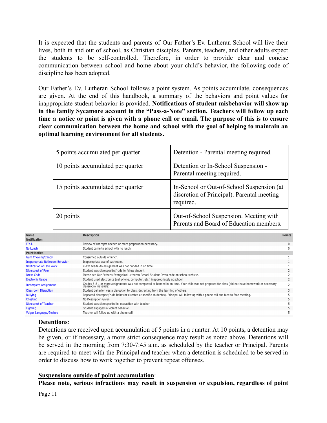It is expected that the students and parents of Our Father's Ev. Lutheran School will live their lives, both in and out of school, as Christian disciples. Parents, teachers, and other adults expect the students to be self-controlled. Therefore, in order to provide clear and concise communication between school and home about your child's behavior, the following code of discipline has been adopted.

Our Father's Ev. Lutheran School follows a point system. As points accumulate, consequences are given. At the end of this handbook, a summary of the behaviors and point values for inappropriate student behavior is provided. **Notifications of student misbehavior will show up in the family Sycamore account in the "Pass-a-Note" section. Teachers will follow up each** time a notice or point is given with a phone call or email. The purpose of this is to ensure **clear communication between the home and school with the goal of helping to maintain an optimal learning environment for all students.**

| 5 points accumulated per quarter  | Detention - Parental meeting required.                                                               |
|-----------------------------------|------------------------------------------------------------------------------------------------------|
| 10 points accumulated per quarter | Detention or In-School Suspension -<br>Parental meeting required.                                    |
| 15 points accumulated per quarter | In-School or Out-of-School Suspension (at<br>discretion of Principal). Parental meeting<br>required. |
| 20 points                         | Out-of-School Suspension. Meeting with<br>Parents and Board of Education members.                    |

| <b>Name</b>                            | <b>Description</b>                                                                                                                                                          | <b>Points</b>  |
|----------------------------------------|-----------------------------------------------------------------------------------------------------------------------------------------------------------------------------|----------------|
| <b>Notification</b>                    |                                                                                                                                                                             |                |
| F.Y.I.                                 | Review of concepts needed or more preparation necessary.                                                                                                                    | $\mathbf{0}$   |
| No Lunch                               | Student came to school with no lunch.                                                                                                                                       | 0              |
| <b>Point Notice</b>                    |                                                                                                                                                                             |                |
| <b>Gum Chewing/Candy</b>               | Consumed outside of lunch.                                                                                                                                                  |                |
| <b>Inappropriate Bathroom Behavior</b> | Inappropriate use of bathroom.                                                                                                                                              |                |
| Notification of Late Work              | K-4th Grade An assignment was not handed in on time.                                                                                                                        |                |
| <b>Disrespect of Peer</b>              | Student was disrespectful/rude to fellow student.                                                                                                                           |                |
| <b>Dress Code</b>                      | Please see Our Father's Evangelical Lutheran School Student Dress code on school website.                                                                                   |                |
| <b>Electronic Usage</b>                | Student used electronics (cell phone, computer, etc.) inappropriately at school.                                                                                            |                |
| <b>Incomplete Assignment</b>           | Grades 5-8 1 or more assignments was not completed or handed in on time. Your child was not prepared for class (did not have homework or necessary<br>classroom materials). | $\overline{2}$ |
| <b>Classroom Disruption</b>            | Student behavior was a disruption to class, detracting from the learning of others.                                                                                         |                |
| <b>Bullying</b>                        | Repeated disrespect/rude behavior directed at specific student(s). Principal will follow up with a phone call and face to face meeting.                                     |                |
| Cheating                               | No Description Given                                                                                                                                                        |                |
| <b>Disrespect of Teacher</b>           | Student was disrespectful in interaction with teacher.                                                                                                                      |                |
| <b>Fighting</b>                        | Student engaged in violent behavior.                                                                                                                                        |                |
| <b>Vulgar Language/Gesture</b>         | Teacher will follow up with a phone call.                                                                                                                                   |                |

#### **Detentions**:

Detentions are received upon accumulation of 5 points in a quarter. At 10 points, a detention may be given, or if necessary, a more strict consequence may result as noted above. Detentions will be served in the morning from 7:30-7:45 a.m. as scheduled by the teacher or Principal. Parents are required to meet with the Principal and teacher when a detention is scheduled to be served in order to discuss how to work together to prevent repeat offenses.

#### **Suspensions outside of point accumulation**:

**Please note, serious infractions may result in suspension or expulsion, regardless of point**

Page 11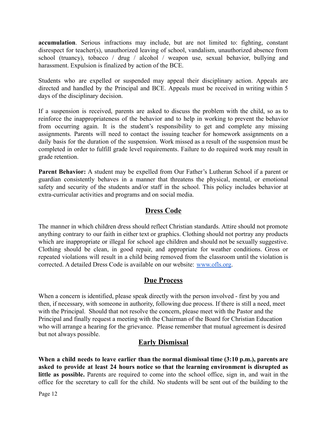**accumulation**. Serious infractions may include, but are not limited to: fighting, constant disrespect for teacher(s), unauthorized leaving of school, vandalism, unauthorized absence from school (truancy), tobacco / drug / alcohol / weapon use, sexual behavior, bullying and harassment. Expulsion is finalized by action of the BCE.

Students who are expelled or suspended may appeal their disciplinary action. Appeals are directed and handled by the Principal and BCE. Appeals must be received in writing within 5 days of the disciplinary decision.

If a suspension is received, parents are asked to discuss the problem with the child, so as to reinforce the inappropriateness of the behavior and to help in working to prevent the behavior from occurring again. It is the student's responsibility to get and complete any missing assignments. Parents will need to contact the issuing teacher for homework assignments on a daily basis for the duration of the suspension. Work missed as a result of the suspension must be completed in order to fulfill grade level requirements. Failure to do required work may result in grade retention.

**Parent Behavior:** A student may be expelled from Our Father's Lutheran School if a parent or guardian consistently behaves in a manner that threatens the physical, mental, or emotional safety and security of the students and/or staff in the school. This policy includes behavior at extra-curricular activities and programs and on social media.

#### **Dress Code**

The manner in which children dress should reflect Christian standards. Attire should not promote anything contrary to our faith in either text or graphics. Clothing should not portray any products which are inappropriate or illegal for school age children and should not be sexually suggestive. Clothing should be clean, in good repair, and appropriate for weather conditions. Gross or repeated violations will result in a child being removed from the classroom until the violation is corrected. A detailed Dress Code is available on our website: [www.ofls.org](http://www.ofls.org).

#### **Due Process**

When a concern is identified, please speak directly with the person involved - first by you and then, if necessary, with someone in authority, following due process. If there is still a need, meet with the Principal. Should that not resolve the concern, please meet with the Pastor and the Principal and finally request a meeting with the Chairman of the Board for Christian Education who will arrange a hearing for the grievance. Please remember that mutual agreement is desired but not always possible.

#### **Early Dismissal**

**When a child needs to leave earlier than the normal dismissal time (3:10 p.m.), parents are asked to provide at least 24 hours notice so that the learning environment is disrupted as little as possible.** Parents are required to come into the school office, sign in, and wait in the office for the secretary to call for the child. No students will be sent out of the building to the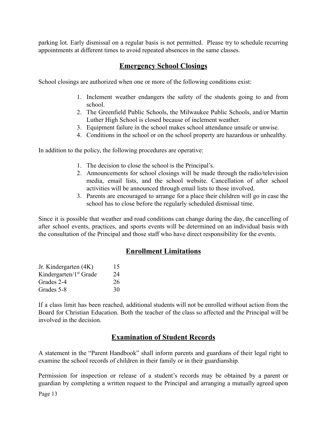parking lot. Early dismissal on a regular basis is not permitted. Please try to schedule recurring appointments at different times to avoid repeated absences in the same classes.

#### **Emergency School Closings**

School closings are authorized when one or more of the following conditions exist:

- 1. Inclement weather endangers the safety of the students going to and from school.
- 2. The Greenfield Public Schools, the Milwaukee Public Schools, and/or Martin Luther High School is closed because of inclement weather.
- 3. Equipment failure in the school makes school attendance unsafe or unwise.
- 4. Conditions in the school or on the school property are hazardous or unhealthy.

In addition to the policy, the following procedures are operative:

- 1. The decision to close the school is the Principal's.
- 2. Announcements for school closings will be made through the radio/television media, email lists, and the school website. Cancellation of after school activities will be announced through email lists to those involved.
- 3. Parents are encouraged to arrange for a place their children will go in case the school has to close before the regularly scheduled dismissal time.

Since it is possible that weather and road conditions can change during the day, the cancelling of after school events, practices, and sports events will be determined on an individual basis with the consultation of the Principal and those staff who have direct responsibility for the events.

#### **Enrollment Limitations**

| Jr. Kindergarten (4K)              | 15 |
|------------------------------------|----|
| Kindergarten/1 <sup>st</sup> Grade | 24 |
| Grades 2-4                         | 26 |
| Grades 5-8                         | 30 |

If a class limit has been reached, additional students will not be enrolled without action from the Board for Christian Education. Both the teacher of the class so affected and the Principal will be involved in the decision.

#### **Examination of Student Records**

A statement in the "Parent Handbook" shall inform parents and guardians of their legal right to examine the school records of children in their family or in their guardianship.

Permission for inspection or release of a student's records may be obtained by a parent or guardian by completing a written request to the Principal and arranging a mutually agreed upon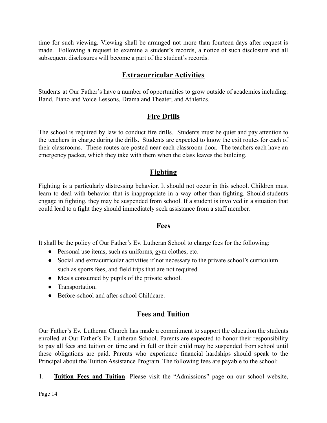time for such viewing. Viewing shall be arranged not more than fourteen days after request is made. Following a request to examine a student's records, a notice of such disclosure and all subsequent disclosures will become a part of the student's records.

## **Extracurricular Activities**

Students at Our Father's have a number of opportunities to grow outside of academics including: Band, Piano and Voice Lessons, Drama and Theater, and Athletics.

### **Fire Drills**

The school is required by law to conduct fire drills. Students must be quiet and pay attention to the teachers in charge during the drills. Students are expected to know the exit routes for each of their classrooms. These routes are posted near each classroom door. The teachers each have an emergency packet, which they take with them when the class leaves the building.

### **Fighting**

Fighting is a particularly distressing behavior. It should not occur in this school. Children must learn to deal with behavior that is inappropriate in a way other than fighting. Should students engage in fighting, they may be suspended from school. If a student is involved in a situation that could lead to a fight they should immediately seek assistance from a staff member.

#### **Fees**

It shall be the policy of Our Father's Ev. Lutheran School to charge fees for the following:

- Personal use items, such as uniforms, gym clothes, etc.
- Social and extracurricular activities if not necessary to the private school's curriculum such as sports fees, and field trips that are not required.
- Meals consumed by pupils of the private school.
- Transportation.
- Before-school and after-school Childcare.

## **Fees and Tuition**

Our Father's Ev. Lutheran Church has made a commitment to support the education the students enrolled at Our Father's Ev. Lutheran School. Parents are expected to honor their responsibility to pay all fees and tuition on time and in full or their child may be suspended from school until these obligations are paid. Parents who experience financial hardships should speak to the Principal about the Tuition Assistance Program. The following fees are payable to the school:

1. **Tuition Fees and Tuition**: Please visit the "Admissions" page on our school website,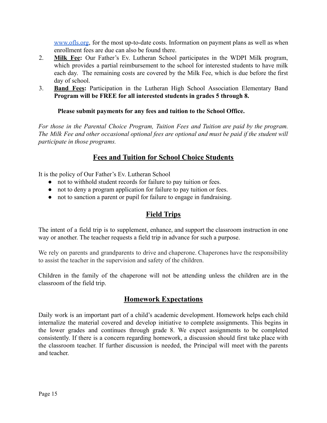[www.ofls.org](http://www.ofls.org), for the most up-to-date costs. Information on payment plans as well as when enrollment fees are due can also be found there.

- 2. **Milk Fee:** Our Father's Ev. Lutheran School participates in the WDPI Milk program, which provides a partial reimbursement to the school for interested students to have milk each day. The remaining costs are covered by the Milk Fee, which is due before the first day of school.
- 3. **Band Fees:** Participation in the Lutheran High School Association Elementary Band **Program will be FREE for all interested students in grades 5 through 8.**

#### **Please submit payments for any fees and tuition to the School Office.**

*For those in the Parental Choice Program, Tuition Fees and Tuition are paid by the program. The Milk Fee and other occasional optional fees are optional and must be paid if the student will participate in those programs.*

#### **Fees and Tuition for School Choice Students**

It is the policy of Our Father's Ev. Lutheran School

- not to withhold student records for failure to pay tuition or fees.
- not to deny a program application for failure to pay tuition or fees.
- not to sanction a parent or pupil for failure to engage in fundraising.

## **Field Trips**

The intent of a field trip is to supplement, enhance, and support the classroom instruction in one way or another. The teacher requests a field trip in advance for such a purpose.

We rely on parents and grandparents to drive and chaperone. Chaperones have the responsibility to assist the teacher in the supervision and safety of the children.

Children in the family of the chaperone will not be attending unless the children are in the classroom of the field trip.

## **Homework Expectations**

Daily work is an important part of a child's academic development. Homework helps each child internalize the material covered and develop initiative to complete assignments. This begins in the lower grades and continues through grade 8. We expect assignments to be completed consistently. If there is a concern regarding homework, a discussion should first take place with the classroom teacher. If further discussion is needed, the Principal will meet with the parents and teacher.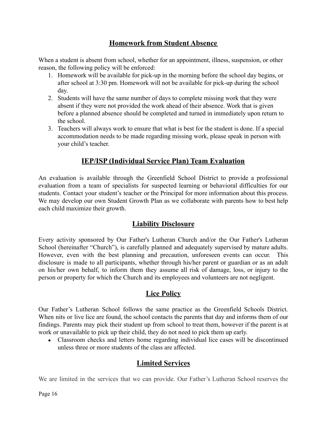## **Homework from Student Absence**

When a student is absent from school, whether for an appointment, illness, suspension, or other reason, the following policy will be enforced:

- 1. Homework will be available for pick-up in the morning before the school day begins, or after school at 3:30 pm. Homework will not be available for pick-up during the school day.
- 2. Students will have the same number of days to complete missing work that they were absent if they were not provided the work ahead of their absence. Work that is given before a planned absence should be completed and turned in immediately upon return to the school.
- 3. Teachers will always work to ensure that what is best for the student is done. If a special accommodation needs to be made regarding missing work, please speak in person with your child's teacher.

## **IEP/ISP (Individual Service Plan) Team Evaluation**

An evaluation is available through the Greenfield School District to provide a professional evaluation from a team of specialists for suspected learning or behavioral difficulties for our students. Contact your student's teacher or the Principal for more information about this process. We may develop our own Student Growth Plan as we collaborate with parents how to best help each child maximize their growth.

#### **Liability Disclosure**

Every activity sponsored by Our Father's Lutheran Church and/or the Our Father's Lutheran School (hereinafter "Church"), is carefully planned and adequately supervised by mature adults. However, even with the best planning and precaution, unforeseen events can occur. This disclosure is made to all participants, whether through his/her parent or guardian or as an adult on his/her own behalf, to inform them they assume all risk of damage, loss, or injury to the person or property for which the Church and its employees and volunteers are not negligent.

## **Lice Policy**

Our Father's Lutheran School follows the same practice as the Greenfield Schools District. When nits or live lice are found, the school contacts the parents that day and informs them of our findings. Parents may pick their student up from school to treat them, however if the parent is at work or unavailable to pick up their child, they do not need to pick them up early.

• Classroom checks and letters home regarding individual lice cases will be discontinued unless three or more students of the class are affected.

## **Limited Services**

We are limited in the services that we can provide. Our Father's Lutheran School reserves the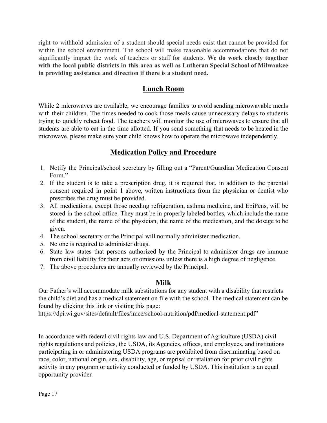right to withhold admission of a student should special needs exist that cannot be provided for within the school environment. The school will make reasonable accommodations that do not significantly impact the work of teachers or staff for students. **We do work closely together with the local public districts in this area as well as Lutheran Special School of Milwaukee in providing assistance and direction if there is a student need.**

## **Lunch Room**

While 2 microwaves are available, we encourage families to avoid sending microwavable meals with their children. The times needed to cook those meals cause unnecessary delays to students trying to quickly reheat food. The teachers will monitor the use of microwaves to ensure that all students are able to eat in the time allotted. If you send something that needs to be heated in the microwave, please make sure your child knows how to operate the microwave independently.

### **Medication Policy and Procedure**

- 1. Notify the Principal/school secretary by filling out a "Parent/Guardian Medication Consent Form."
- 2. If the student is to take a prescription drug, it is required that, in addition to the parental consent required in point 1 above, written instructions from the physician or dentist who prescribes the drug must be provided.
- 3. All medications, except those needing refrigeration, asthma medicine, and EpiPens, will be stored in the school office. They must be in properly labeled bottles, which include the name of the student, the name of the physician, the name of the medication, and the dosage to be given.
- 4. The school secretary or the Principal will normally administer medication.
- 5. No one is required to administer drugs.
- 6. State law states that persons authorized by the Principal to administer drugs are immune from civil liability for their acts or omissions unless there is a high degree of negligence.
- 7. The above procedures are annually reviewed by the Principal.

#### **Milk**

Our Father's will accommodate milk substitutions for any student with a disability that restricts the child's diet and has a medical statement on file with the school. The medical statement can be found by clicking this [link](https://dpi.wi.gov/sites/default/files/imce/school-nutrition/pdf/medical-statement.pdf) or visiting this page:

<https://dpi.wi.gov/sites/default/files/imce/school-nutrition/pdf/medical-statement.pdf>"

In accordance with federal civil rights law and U.S. Department of Agriculture (USDA) civil rights regulations and policies, the USDA, its Agencies, offices, and employees, and institutions participating in or administering USDA programs are prohibited from discriminating based on race, color, national origin, sex, disability, age, or reprisal or retaliation for prior civil rights activity in any program or activity conducted or funded by USDA. This institution is an equal opportunity provider.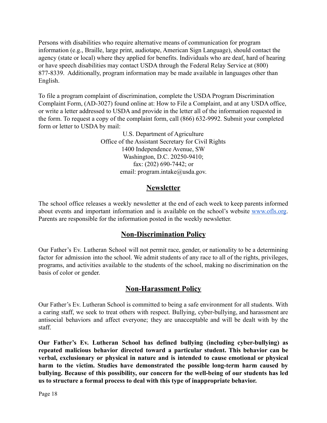Persons with disabilities who require alternative means of communication for program information (e.g., Braille, large print, audiotape, American Sign Language), should contact the agency (state or local) where they applied for benefits. Individuals who are deaf, hard of hearing or have speech disabilities may contact USDA through the Federal Relay Service at (800) 877-8339. Additionally, program information may be made available in languages other than English.

To file a program complaint of discrimination, complete the [USDA Program Discrimination](https://www.usda.gov/sites/default/files/documents/USDA-OASCR%20P-Complaint-Form-0508-0002-508-11-28-17Fax2Mail.pdf) [Complaint Form,](https://www.usda.gov/sites/default/files/documents/USDA-OASCR%20P-Complaint-Form-0508-0002-508-11-28-17Fax2Mail.pdf) (AD-3027) found online at: How to [File a Complaint](https://www.usda.gov/oascr/how-to-file-a-program-discrimination-complaint), and at any USDA office, or write a letter addressed to USDA and provide in the letter all of the information requested in the form. To request a copy of the complaint form, call (866) 632-9992. Submit your completed form or letter to USDA by mail:

> U.S. Department of Agriculture Office of the Assistant Secretary for Civil Rights 1400 Independence Avenue, SW Washington, D.C. 20250-9410; fax: (202) 690-7442; or email: program.intake@usda.gov.

## **Newsletter**

The school office releases a weekly newsletter at the end of each week to keep parents informed about events and important information and is available on the school's website [www.ofls.org](http://www.ofls.org). Parents are responsible for the information posted in the weekly newsletter.

## **Non-Discrimination Policy**

Our Father's Ev. Lutheran School will not permit race, gender, or nationality to be a determining factor for admission into the school. We admit students of any race to all of the rights, privileges, programs, and activities available to the students of the school, making no discrimination on the basis of color or gender.

#### **Non-Harassment Policy**

Our Father's Ev. Lutheran School is committed to being a safe environment for all students. With a caring staff, we seek to treat others with respect. Bullying, cyber-bullying, and harassment are antisocial behaviors and affect everyone; they are unacceptable and will be dealt with by the staff.

**Our Father's Ev. Lutheran School has defined bullying (including cyber-bullying) as repeated malicious behavior directed toward a particular student. This behavior can be verbal, exclusionary or physical in nature and is intended to cause emotional or physical harm to the victim. Studies have demonstrated the possible long-term harm caused by bullying. Because of this possibility, our concern for the well-being of our students has led us to structure a formal process to deal with this type of inappropriate behavior.**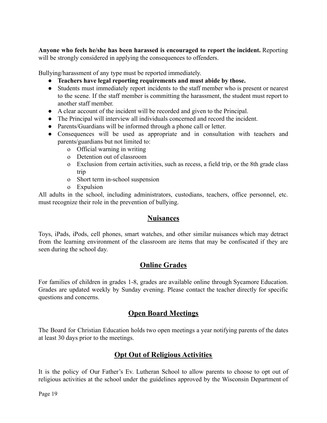**Anyone who feels he/she has been harassed is encouraged to report the incident.** Reporting will be strongly considered in applying the consequences to offenders.

Bullying/harassment of any type must be reported immediately.

- **● Teachers have legal reporting requirements and must abide by those.**
- Students must immediately report incidents to the staff member who is present or nearest to the scene. If the staff member is committing the harassment, the student must report to another staff member.
- A clear account of the incident will be recorded and given to the Principal.
- The Principal will interview all individuals concerned and record the incident.
- Parents/Guardians will be informed through a phone call or letter.
- Consequences will be used as appropriate and in consultation with teachers and parents/guardians but not limited to:
	- o Official warning in writing
	- o Detention out of classroom
	- o Exclusion from certain activities, such as recess, a field trip, or the 8th grade class trip
	- o Short term in-school suspension
	- o Expulsion

All adults in the school, including administrators, custodians, teachers, office personnel, etc. must recognize their role in the prevention of bullying.

#### **Nuisances**

Toys, iPads, iPods, cell phones, smart watches, and other similar nuisances which may detract from the learning environment of the classroom are items that may be confiscated if they are seen during the school day.

#### **Online Grades**

For families of children in grades 1-8, grades are available online through Sycamore Education. Grades are updated weekly by Sunday evening. Please contact the teacher directly for specific questions and concerns.

#### **Open Board Meetings**

The Board for Christian Education holds two open meetings a year notifying parents of the dates at least 30 days prior to the meetings.

## **Opt Out of Religious Activities**

It is the policy of Our Father's Ev. Lutheran School to allow parents to choose to opt out of religious activities at the school under the guidelines approved by the Wisconsin Department of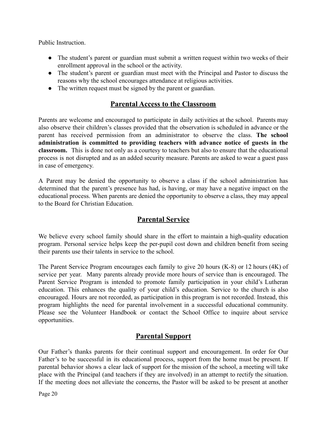Public Instruction.

- The student's parent or guardian must submit a written request within two weeks of their enrollment approval in the school or the activity.
- The student's parent or guardian must meet with the Principal and Pastor to discuss the reasons why the school encourages attendance at religious activities.
- The written request must be signed by the parent or guardian.

## **Parental Access to the Classroom**

Parents are welcome and encouraged to participate in daily activities at the school. Parents may also observe their children's classes provided that the observation is scheduled in advance or the parent has received permission from an administrator to observe the class. **The school administration is committed to providing teachers with advance notice of guests in the classroom.** This is done not only as a courtesy to teachers but also to ensure that the educational process is not disrupted and as an added security measure. Parents are asked to wear a guest pass in case of emergency.

A Parent may be denied the opportunity to observe a class if the school administration has determined that the parent's presence has had, is having, or may have a negative impact on the educational process. When parents are denied the opportunity to observe a class, they may appeal to the Board for Christian Education.

## **Parental Service**

We believe every school family should share in the effort to maintain a high-quality education program. Personal service helps keep the per-pupil cost down and children benefit from seeing their parents use their talents in service to the school.

The Parent Service Program encourages each family to give 20 hours (K-8) or 12 hours (4K) of service per year. Many parents already provide more hours of service than is encouraged. The Parent Service Program is intended to promote family participation in your child's Lutheran education. This enhances the quality of your child's education. Service to the church is also encouraged. Hours are not recorded, as participation in this program is not recorded. Instead, this program highlights the need for parental involvement in a successful educational community. Please see the Volunteer Handbook or contact the School Office to inquire about service opportunities.

## **Parental Support**

Our Father's thanks parents for their continual support and encouragement. In order for Our Father's to be successful in its educational process, support from the home must be present. If parental behavior shows a clear lack of support for the mission of the school, a meeting will take place with the Principal (and teachers if they are involved) in an attempt to rectify the situation. If the meeting does not alleviate the concerns, the Pastor will be asked to be present at another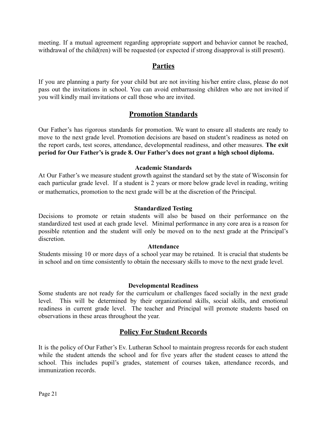meeting. If a mutual agreement regarding appropriate support and behavior cannot be reached, withdrawal of the child(ren) will be requested (or expected if strong disapproval is still present).

#### **Parties**

If you are planning a party for your child but are not inviting his/her entire class, please do not pass out the invitations in school. You can avoid embarrassing children who are not invited if you will kindly mail invitations or call those who are invited.

#### **Promotion Standards**

Our Father's has rigorous standards for promotion. We want to ensure all students are ready to move to the next grade level. Promotion decisions are based on student's readiness as noted on the report cards, test scores, attendance, developmental readiness, and other measures. **The exit period for Our Father's is grade 8. Our Father's does not grant a high school diploma.**

#### **Academic Standards**

At Our Father's we measure student growth against the standard set by the state of Wisconsin for each particular grade level. If a student is 2 years or more below grade level in reading, writing or mathematics, promotion to the next grade will be at the discretion of the Principal.

#### **Standardized Testing**

Decisions to promote or retain students will also be based on their performance on the standardized test used at each grade level. Minimal performance in any core area is a reason for possible retention and the student will only be moved on to the next grade at the Principal's discretion.

#### **Attendance**

Students missing 10 or more days of a school year may be retained. It is crucial that students be in school and on time consistently to obtain the necessary skills to move to the next grade level.

#### **Developmental Readiness**

Some students are not ready for the curriculum or challenges faced socially in the next grade level. This will be determined by their organizational skills, social skills, and emotional readiness in current grade level. The teacher and Principal will promote students based on observations in these areas throughout the year.

#### **Policy For Student Records**

It is the policy of Our Father's Ev. Lutheran School to maintain progress records for each student while the student attends the school and for five years after the student ceases to attend the school. This includes pupil's grades, statement of courses taken, attendance records, and immunization records.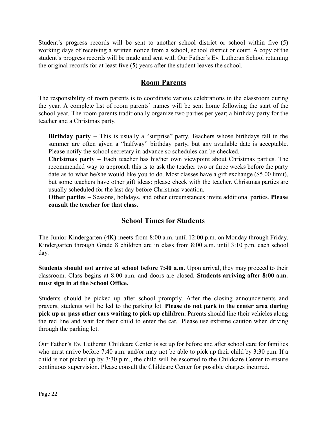Student's progress records will be sent to another school district or school within five (5) working days of receiving a written notice from a school, school district or court. A copy of the student's progress records will be made and sent with Our Father's Ev. Lutheran School retaining the original records for at least five (5) years after the student leaves the school.

#### **Room Parents**

The responsibility of room parents is to coordinate various celebrations in the classroom during the year. A complete list of room parents' names will be sent home following the start of the school year. The room parents traditionally organize two parties per year; a birthday party for the teacher and a Christmas party.

**Birthday party** – This is usually a "surprise" party. Teachers whose birthdays fall in the summer are often given a "halfway" birthday party, but any available date is acceptable. Please notify the school secretary in advance so schedules can be checked.

**Christmas party** – Each teacher has his/her own viewpoint about Christmas parties. The recommended way to approach this is to ask the teacher two or three weeks before the party date as to what he/she would like you to do. Most classes have a gift exchange (\$5.00 limit), but some teachers have other gift ideas: please check with the teacher. Christmas parties are usually scheduled for the last day before Christmas vacation.

**Other parties** – Seasons, holidays, and other circumstances invite additional parties. **Please consult the teacher for that class.**

#### **School Times for Students**

The Junior Kindergarten (4K) meets from 8:00 a.m. until 12:00 p.m. on Monday through Friday. Kindergarten through Grade 8 children are in class from 8:00 a.m. until 3:10 p.m. each school day.

**Students should not arrive at school before 7:40 a.m.** Upon arrival, they may proceed to their classroom. Class begins at 8:00 a.m. and doors are closed. **Students arriving after 8:00 a.m. must sign in at the School Office.**

Students should be picked up after school promptly. After the closing announcements and prayers, students will be led to the parking lot. **Please do not park in the center area during pick up or pass other cars waiting to pick up children.** Parents should line their vehicles along the red line and wait for their child to enter the car. Please use extreme caution when driving through the parking lot.

Our Father's Ev. Lutheran Childcare Center is set up for before and after school care for families who must arrive before 7:40 a.m. and/or may not be able to pick up their child by 3:30 p.m. If a child is not picked up by 3:30 p.m., the child will be escorted to the Childcare Center to ensure continuous supervision. Please consult the Childcare Center for possible charges incurred.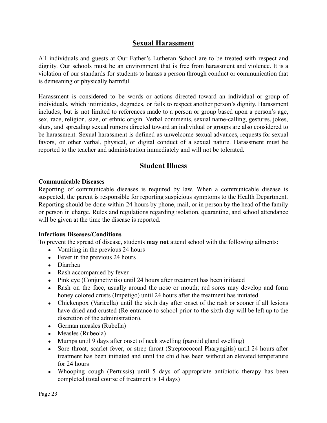#### **Sexual Harassment**

All individuals and guests at Our Father's Lutheran School are to be treated with respect and dignity. Our schools must be an environment that is free from harassment and violence. It is a violation of our standards for students to harass a person through conduct or communication that is demeaning or physically harmful.

Harassment is considered to be words or actions directed toward an individual or group of individuals, which intimidates, degrades, or fails to respect another person's dignity. Harassment includes, but is not limited to references made to a person or group based upon a person's age, sex, race, religion, size, or ethnic origin. Verbal comments, sexual name-calling, gestures, jokes, slurs, and spreading sexual rumors directed toward an individual or groups are also considered to be harassment. Sexual harassment is defined as unwelcome sexual advances, requests for sexual favors, or other verbal, physical, or digital conduct of a sexual nature. Harassment must be reported to the teacher and administration immediately and will not be tolerated.

### **Student Illness**

#### **Communicable Diseases**

Reporting of communicable diseases is required by law. When a communicable disease is suspected, the parent is responsible for reporting suspicious symptoms to the Health Department. Reporting should be done within 24 hours by phone, mail, or in person by the head of the family or person in charge. Rules and regulations regarding isolation, quarantine, and school attendance will be given at the time the disease is reported.

#### **Infectious Diseases/Conditions**

To prevent the spread of disease, students **may not** attend school with the following ailments:

- Vomiting in the previous 24 hours
- $\bullet$  Fever in the previous 24 hours
- Diarrhea
- Rash accompanied by fever
- Pink eye (Conjunctivitis) until 24 hours after treatment has been initiated
- Rash on the face, usually around the nose or mouth; red sores may develop and form honey colored crusts (Impetigo) until 24 hours after the treatment has initiated.
- Chickenpox (Varicella) until the sixth day after onset of the rash or sooner if all lesions have dried and crusted (Re-entrance to school prior to the sixth day will be left up to the discretion of the administration).
- German measles (Rubella)
- Measles (Rubeola)
- Mumps until 9 days after onset of neck swelling (parotid gland swelling)
- Sore throat, scarlet fever, or strep throat (Streptococcal Pharyngitis) until 24 hours after treatment has been initiated and until the child has been without an elevated temperature for 24 hours
- Whooping cough (Pertussis) until 5 days of appropriate antibiotic therapy has been completed (total course of treatment is 14 days)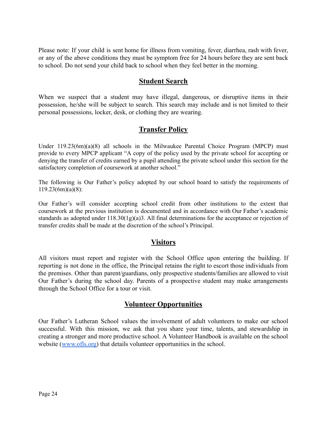Please note: If your child is sent home for illness from vomiting, fever, diarrhea, rash with fever, or any of the above conditions they must be symptom free for 24 hours before they are sent back to school. Do not send your child back to school when they feel better in the morning.

#### **Student Search**

When we suspect that a student may have illegal, dangerous, or disruptive items in their possession, he/she will be subject to search. This search may include and is not limited to their personal possessions, locker, desk, or clothing they are wearing.

### **Transfer Policy**

Under 119.23(6m)(a)(8) all schools in the Milwaukee Parental Choice Program (MPCP) must provide to every MPCP applicant "A copy of the policy used by the private school for accepting or denying the transfer of credits earned by a pupil attending the private school under this section for the satisfactory completion of coursework at another school."

The following is Our Father's policy adopted by our school board to satisfy the requirements of 119.23(6m)(a)(8):

Our Father's will consider accepting school credit from other institutions to the extent that coursework at the previous institution is documented and in accordance with Our Father's academic standards as adopted under 118.30(1g)(a)3. All final determinations for the acceptance or rejection of transfer credits shall be made at the discretion of the school's Principal.

#### **Visitors**

All visitors must report and register with the School Office upon entering the building. If reporting is not done in the office, the Principal retains the right to escort those individuals from the premises. Other than parent/guardians, only prospective students/families are allowed to visit Our Father's during the school day. Parents of a prospective student may make arrangements through the School Office for a tour or visit.

#### **Volunteer Opportunities**

Our Father's Lutheran School values the involvement of adult volunteers to make our school successful. With this mission, we ask that you share your time, talents, and stewardship in creating a stronger and more productive school. A Volunteer Handbook is available on the school website ([www.ofls.org\)](http://www.ofls.org) that details volunteer opportunities in the school.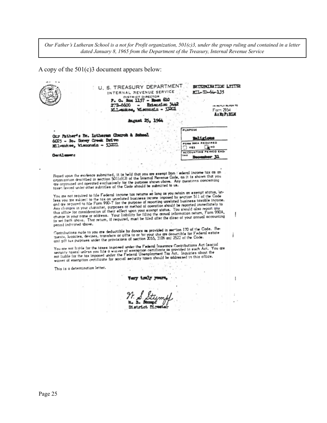Our Father's Lutheran School is a not for Profit organization, 501(c)3, under the group ruling and contained in a letter *dated January 8, 1965 from the Department of the Treasury, Internal Revenue Service*

A copy of the 501(c)3 document appears below:

|                                 |                                                                                                                                                                                                                                                                                                                                                                                                                                                                                                                                                                                                                                                                                                                                                                                                                                                                                                                                                                                                                                          | <b>August 25, 19</b> |                                                                                              |                |                     |  |
|---------------------------------|------------------------------------------------------------------------------------------------------------------------------------------------------------------------------------------------------------------------------------------------------------------------------------------------------------------------------------------------------------------------------------------------------------------------------------------------------------------------------------------------------------------------------------------------------------------------------------------------------------------------------------------------------------------------------------------------------------------------------------------------------------------------------------------------------------------------------------------------------------------------------------------------------------------------------------------------------------------------------------------------------------------------------------------|----------------------|----------------------------------------------------------------------------------------------|----------------|---------------------|--|
|                                 |                                                                                                                                                                                                                                                                                                                                                                                                                                                                                                                                                                                                                                                                                                                                                                                                                                                                                                                                                                                                                                          |                      |                                                                                              |                |                     |  |
|                                 | Our Father's By. Intheren Church & School                                                                                                                                                                                                                                                                                                                                                                                                                                                                                                                                                                                                                                                                                                                                                                                                                                                                                                                                                                                                |                      |                                                                                              | PURPOSE        |                     |  |
|                                 | 6025 - So. Honey Creek Drive                                                                                                                                                                                                                                                                                                                                                                                                                                                                                                                                                                                                                                                                                                                                                                                                                                                                                                                                                                                                             |                      |                                                                                              |                | FORM 990A REQUIRED  |  |
|                                 | Milwaukee, Wisconsin - 53221                                                                                                                                                                                                                                                                                                                                                                                                                                                                                                                                                                                                                                                                                                                                                                                                                                                                                                                                                                                                             |                      |                                                                                              |                | $\bullet$ HO<br>YES |  |
| <b>Gentlimens</b>               |                                                                                                                                                                                                                                                                                                                                                                                                                                                                                                                                                                                                                                                                                                                                                                                                                                                                                                                                                                                                                                          |                      |                                                                                              | <b>ACCOUNT</b> | ERIOD END           |  |
|                                 |                                                                                                                                                                                                                                                                                                                                                                                                                                                                                                                                                                                                                                                                                                                                                                                                                                                                                                                                                                                                                                          |                      |                                                                                              |                |                     |  |
|                                 | Based upon the evidence submitted, it is held that you are exempt from : ederal income tax as an                                                                                                                                                                                                                                                                                                                                                                                                                                                                                                                                                                                                                                                                                                                                                                                                                                                                                                                                         |                      |                                                                                              |                |                     |  |
|                                 |                                                                                                                                                                                                                                                                                                                                                                                                                                                                                                                                                                                                                                                                                                                                                                                                                                                                                                                                                                                                                                          |                      | are organized and operated exclusively for the purpose shown above. Any questions concerning |                |                     |  |
| period Indicated above.         | You are not required to file Federal income tax returns so long as you retain an exempt status, un-<br>less you are subject to the tax on unrelated business income imposed by section 511 of the Code<br>and are required to file Form 990-T for the purpose of reporting unrelated business taxable income.<br>Any changes in your character, purposes at method of operation should be reported immediately to<br>this office for consideration of their effect upon your exempt status. You should also report any<br>change in your name or address. Your liability for filing the annual information return, Form 990A,<br>is set forth above. That return, if required, must be filed after the close of your annual accounting<br>Contributions made to you are deductible by donors as provided in section 170 of the Code. Be-<br>quests, legacies, devises, transfers or gifts to or for your use are deauctible for Federal estate<br>and gift tux purposes under the provisions of section 2055, 2106 and 2522 of the Code. |                      | taxes levied under other subtitles of the Code should be submitted to us.                    |                |                     |  |
|                                 | You are not limble for the taxes imported under the Federal Insurance Contributions Act (social<br>security taxes) unless you file a waiver of exemption certificate as provided in such Act. You are<br>not liable for the tax imposed under the Federal Unemployment Tax Act. Inquiries about the<br>waiver of exemption certificate for social security taxes should be addressed to this office.                                                                                                                                                                                                                                                                                                                                                                                                                                                                                                                                                                                                                                     |                      |                                                                                              |                |                     |  |
| This is a determination letter. |                                                                                                                                                                                                                                                                                                                                                                                                                                                                                                                                                                                                                                                                                                                                                                                                                                                                                                                                                                                                                                          |                      |                                                                                              |                |                     |  |
|                                 |                                                                                                                                                                                                                                                                                                                                                                                                                                                                                                                                                                                                                                                                                                                                                                                                                                                                                                                                                                                                                                          |                      |                                                                                              |                |                     |  |
|                                 |                                                                                                                                                                                                                                                                                                                                                                                                                                                                                                                                                                                                                                                                                                                                                                                                                                                                                                                                                                                                                                          |                      |                                                                                              |                |                     |  |
|                                 |                                                                                                                                                                                                                                                                                                                                                                                                                                                                                                                                                                                                                                                                                                                                                                                                                                                                                                                                                                                                                                          |                      |                                                                                              |                |                     |  |